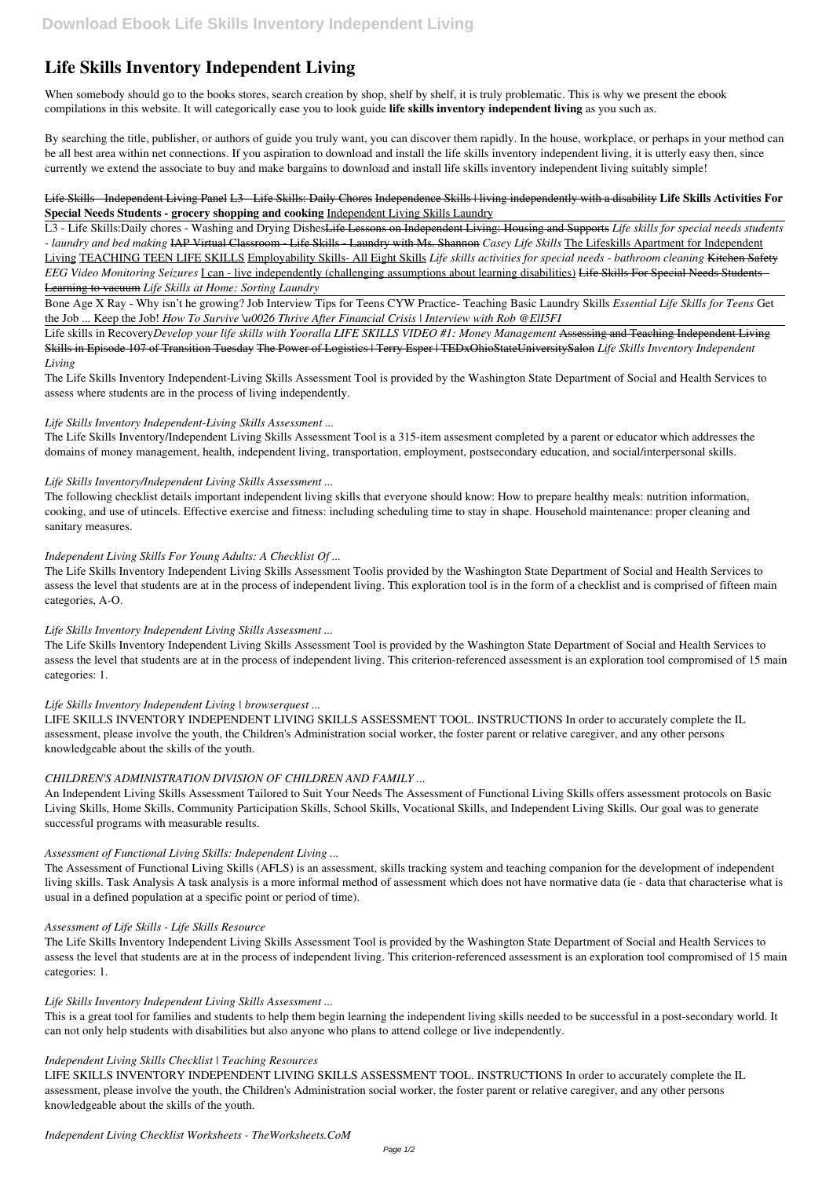# **Life Skills Inventory Independent Living**

When somebody should go to the books stores, search creation by shop, shelf by shelf, it is truly problematic. This is why we present the ebook compilations in this website. It will categorically ease you to look guide **life skills inventory independent living** as you such as.

By searching the title, publisher, or authors of guide you truly want, you can discover them rapidly. In the house, workplace, or perhaps in your method can be all best area within net connections. If you aspiration to download and install the life skills inventory independent living, it is utterly easy then, since currently we extend the associate to buy and make bargains to download and install life skills inventory independent living suitably simple!

#### Life Skills - Independent Living Panel L3 - Life Skills: Daily Chores Independence Skills | living independently with a disability **Life Skills Activities For Special Needs Students - grocery shopping and cooking** Independent Living Skills Laundry

L3 - Life Skills:Daily chores - Washing and Drying DishesLife Lessons on Independent Living: Housing and Supports *Life skills for special needs students - laundry and bed making* IAP Virtual Classroom - Life Skills - Laundry with Ms. Shannon *Casey Life Skills* The Lifeskills Apartment for Independent Living TEACHING TEEN LIFE SKILLS Employability Skills- All Eight Skills *Life skills activities for special needs - bathroom cleaning* Kitchen Safety *EEG Video Monitoring Seizures* I can - live independently (challenging assumptions about learning disabilities) Life Skills For Special Needs Students - Learning to vacuum *Life Skills at Home: Sorting Laundry*

Bone Age X Ray - Why isn't he growing? Job Interview Tips for Teens CYW Practice- Teaching Basic Laundry Skills *Essential Life Skills for Teens* Get the Job ... Keep the Job! *How To Survive \u0026 Thrive After Financial Crisis | Interview with Rob @ElI5FI*

Life skills in Recovery*Develop your life skills with Yooralla LIFE SKILLS VIDEO #1: Money Management* Assessing and Teaching Independent Living Skills in Episode 107 of Transition Tuesday The Power of Logistics | Terry Esper | TEDxOhioStateUniversitySalon *Life Skills Inventory Independent Living*

The Life Skills Inventory Independent-Living Skills Assessment Tool is provided by the Washington State Department of Social and Health Services to assess where students are in the process of living independently.

### *Life Skills Inventory Independent-Living Skills Assessment ...*

The Life Skills Inventory/Independent Living Skills Assessment Tool is a 315-item assesment completed by a parent or educator which addresses the domains of money management, health, independent living, transportation, employment, postsecondary education, and social/interpersonal skills.

#### *Life Skills Inventory/Independent Living Skills Assessment ...*

The following checklist details important independent living skills that everyone should know: How to prepare healthy meals: nutrition information, cooking, and use of utincels. Effective exercise and fitness: including scheduling time to stay in shape. Household maintenance: proper cleaning and sanitary measures.

*Independent Living Skills For Young Adults: A Checklist Of ...*

The Life Skills Inventory Independent Living Skills Assessment Toolis provided by the Washington State Department of Social and Health Services to assess the level that students are at in the process of independent living. This exploration tool is in the form of a checklist and is comprised of fifteen main categories, A-O.

## *Life Skills Inventory Independent Living Skills Assessment ...*

The Life Skills Inventory Independent Living Skills Assessment Tool is provided by the Washington State Department of Social and Health Services to assess the level that students are at in the process of independent living. This criterion-referenced assessment is an exploration tool compromised of 15 main categories: 1.

#### *Life Skills Inventory Independent Living | browserquest ...*

LIFE SKILLS INVENTORY INDEPENDENT LIVING SKILLS ASSESSMENT TOOL. INSTRUCTIONS In order to accurately complete the IL assessment, please involve the youth, the Children's Administration social worker, the foster parent or relative caregiver, and any other persons knowledgeable about the skills of the youth.

## *CHILDREN'S ADMINISTRATION DIVISION OF CHILDREN AND FAMILY ...*

An Independent Living Skills Assessment Tailored to Suit Your Needs The Assessment of Functional Living Skills offers assessment protocols on Basic Living Skills, Home Skills, Community Participation Skills, School Skills, Vocational Skills, and Independent Living Skills. Our goal was to generate successful programs with measurable results.

## *Assessment of Functional Living Skills: Independent Living ...*

The Assessment of Functional Living Skills (AFLS) is an assessment, skills tracking system and teaching companion for the development of independent living skills. Task Analysis A task analysis is a more informal method of assessment which does not have normative data (ie - data that characterise what is

usual in a defined population at a specific point or period of time).

#### *Assessment of Life Skills - Life Skills Resource*

The Life Skills Inventory Independent Living Skills Assessment Tool is provided by the Washington State Department of Social and Health Services to assess the level that students are at in the process of independent living. This criterion-referenced assessment is an exploration tool compromised of 15 main categories: 1.

*Life Skills Inventory Independent Living Skills Assessment ...*

This is a great tool for families and students to help them begin learning the independent living skills needed to be successful in a post-secondary world. It can not only help students with disabilities but also anyone who plans to attend college or live independently.

#### *Independent Living Skills Checklist | Teaching Resources*

LIFE SKILLS INVENTORY INDEPENDENT LIVING SKILLS ASSESSMENT TOOL. INSTRUCTIONS In order to accurately complete the IL assessment, please involve the youth, the Children's Administration social worker, the foster parent or relative caregiver, and any other persons knowledgeable about the skills of the youth.

*Independent Living Checklist Worksheets - TheWorksheets.CoM*